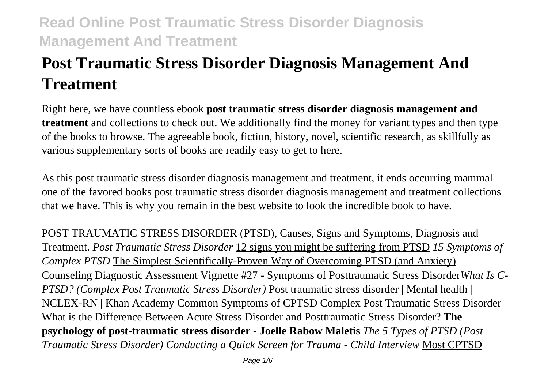# **Post Traumatic Stress Disorder Diagnosis Management And Treatment**

Right here, we have countless ebook **post traumatic stress disorder diagnosis management and treatment** and collections to check out. We additionally find the money for variant types and then type of the books to browse. The agreeable book, fiction, history, novel, scientific research, as skillfully as various supplementary sorts of books are readily easy to get to here.

As this post traumatic stress disorder diagnosis management and treatment, it ends occurring mammal one of the favored books post traumatic stress disorder diagnosis management and treatment collections that we have. This is why you remain in the best website to look the incredible book to have.

POST TRAUMATIC STRESS DISORDER (PTSD), Causes, Signs and Symptoms, Diagnosis and Treatment. *Post Traumatic Stress Disorder* 12 signs you might be suffering from PTSD *15 Symptoms of Complex PTSD* The Simplest Scientifically-Proven Way of Overcoming PTSD (and Anxiety) Counseling Diagnostic Assessment Vignette #27 - Symptoms of Posttraumatic Stress Disorder*What Is C-PTSD? (Complex Post Traumatic Stress Disorder)* Post traumatic stress disorder | Mental health | NCLEX-RN | Khan Academy Common Symptoms of CPTSD Complex Post Traumatic Stress Disorder What is the Difference Between Acute Stress Disorder and Posttraumatic Stress Disorder? **The psychology of post-traumatic stress disorder - Joelle Rabow Maletis** *The 5 Types of PTSD (Post Traumatic Stress Disorder) Conducting a Quick Screen for Trauma - Child Interview* Most CPTSD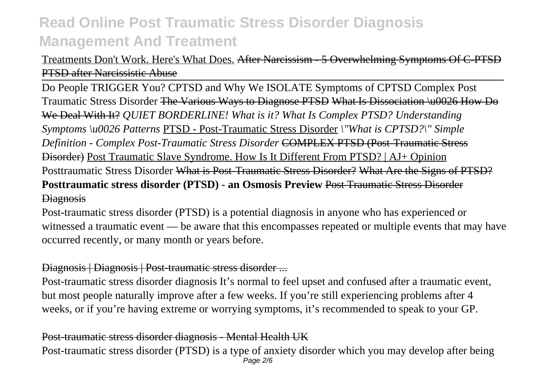Treatments Don't Work. Here's What Does. After Narcissism - 5 Overwhelming Symptoms Of C-PTSD PTSD after Narcissistic Abuse

Do People TRIGGER You? CPTSD and Why We ISOLATE Symptoms of CPTSD Complex Post Traumatic Stress Disorder The Various Ways to Diagnose PTSD What Is Dissociation \u0026 How Do We Deal With It? *QUIET BORDERLINE! What is it? What Is Complex PTSD? Understanding Symptoms \u0026 Patterns* PTSD - Post-Traumatic Stress Disorder *\"What is CPTSD?\" Simple Definition - Complex Post-Traumatic Stress Disorder* COMPLEX PTSD (Post-Traumatic Stress Disorder) Post Traumatic Slave Syndrome. How Is It Different From PTSD? | AJ+ Opinion Posttraumatic Stress Disorder <del>What is Post-Traumatic Stress Disorder? What Are the Signs of PTSD?</del> **Posttraumatic stress disorder (PTSD) - an Osmosis Preview** Post Traumatic Stress Disorder **Diagnosis** 

Post-traumatic stress disorder (PTSD) is a potential diagnosis in anyone who has experienced or witnessed a traumatic event — be aware that this encompasses repeated or multiple events that may have occurred recently, or many month or years before.

### Diagnosis | Diagnosis | Post-traumatic stress disorder ...

Post-traumatic stress disorder diagnosis It's normal to feel upset and confused after a traumatic event, but most people naturally improve after a few weeks. If you're still experiencing problems after 4 weeks, or if you're having extreme or worrying symptoms, it's recommended to speak to your GP.

#### Post-traumatic stress disorder diagnosis - Mental Health UK

Post-traumatic stress disorder (PTSD) is a type of anxiety disorder which you may develop after being Page 2/6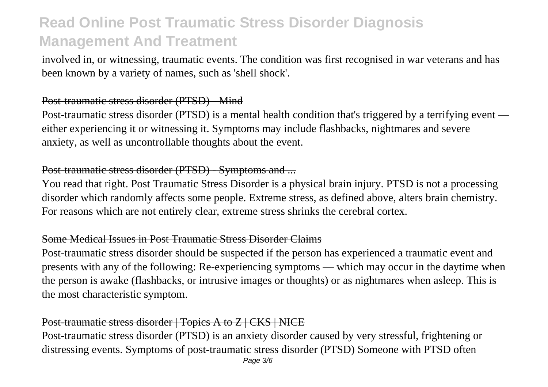involved in, or witnessing, traumatic events. The condition was first recognised in war veterans and has been known by a variety of names, such as 'shell shock'.

#### Post-traumatic stress disorder (PTSD) - Mind

Post-traumatic stress disorder (PTSD) is a mental health condition that's triggered by a terrifying event either experiencing it or witnessing it. Symptoms may include flashbacks, nightmares and severe anxiety, as well as uncontrollable thoughts about the event.

## Post-traumatic stress disorder (PTSD) - Symptoms and ...

You read that right. Post Traumatic Stress Disorder is a physical brain injury. PTSD is not a processing disorder which randomly affects some people. Extreme stress, as defined above, alters brain chemistry. For reasons which are not entirely clear, extreme stress shrinks the cerebral cortex.

## Some Medical Issues in Post Traumatic Stress Disorder Claims

Post-traumatic stress disorder should be suspected if the person has experienced a traumatic event and presents with any of the following: Re-experiencing symptoms — which may occur in the daytime when the person is awake (flashbacks, or intrusive images or thoughts) or as nightmares when asleep. This is the most characteristic symptom.

### Post-traumatic stress disorder | Topics A to Z | CKS | NICE

Post-traumatic stress disorder (PTSD) is an anxiety disorder caused by very stressful, frightening or distressing events. Symptoms of post-traumatic stress disorder (PTSD) Someone with PTSD often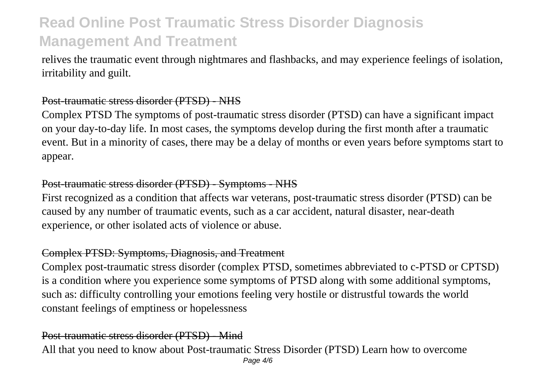relives the traumatic event through nightmares and flashbacks, and may experience feelings of isolation, irritability and guilt.

### Post-traumatic stress disorder (PTSD) - NHS

Complex PTSD The symptoms of post-traumatic stress disorder (PTSD) can have a significant impact on your day-to-day life. In most cases, the symptoms develop during the first month after a traumatic event. But in a minority of cases, there may be a delay of months or even years before symptoms start to appear.

### Post-traumatic stress disorder (PTSD) - Symptoms - NHS

First recognized as a condition that affects war veterans, post-traumatic stress disorder (PTSD) can be caused by any number of traumatic events, such as a car accident, natural disaster, near-death experience, or other isolated acts of violence or abuse.

#### Complex PTSD: Symptoms, Diagnosis, and Treatment

Complex post-traumatic stress disorder (complex PTSD, sometimes abbreviated to c-PTSD or CPTSD) is a condition where you experience some symptoms of PTSD along with some additional symptoms, such as: difficulty controlling your emotions feeling very hostile or distrustful towards the world constant feelings of emptiness or hopelessness

## Post-traumatic stress disorder (PTSD) - Mind

All that you need to know about Post-traumatic Stress Disorder (PTSD) Learn how to overcome Page 4/6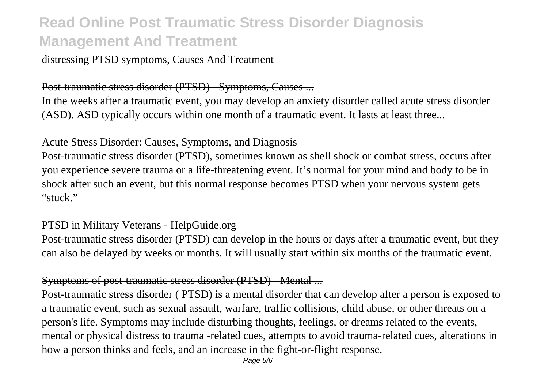distressing PTSD symptoms, Causes And Treatment

#### Post-traumatic stress disorder (PTSD) - Symptoms, Causes ...

In the weeks after a traumatic event, you may develop an anxiety disorder called acute stress disorder (ASD). ASD typically occurs within one month of a traumatic event. It lasts at least three...

#### Acute Stress Disorder: Causes, Symptoms, and Diagnosis

Post-traumatic stress disorder (PTSD), sometimes known as shell shock or combat stress, occurs after you experience severe trauma or a life-threatening event. It's normal for your mind and body to be in shock after such an event, but this normal response becomes PTSD when your nervous system gets "stuck."

#### PTSD in Military Veterans - HelpGuide.org

Post-traumatic stress disorder (PTSD) can develop in the hours or days after a traumatic event, but they can also be delayed by weeks or months. It will usually start within six months of the traumatic event.

#### Symptoms of post-traumatic stress disorder (PTSD) - Mental ...

Post-traumatic stress disorder ( PTSD) is a mental disorder that can develop after a person is exposed to a traumatic event, such as sexual assault, warfare, traffic collisions, child abuse, or other threats on a person's life. Symptoms may include disturbing thoughts, feelings, or dreams related to the events, mental or physical distress to trauma -related cues, attempts to avoid trauma-related cues, alterations in how a person thinks and feels, and an increase in the fight-or-flight response.